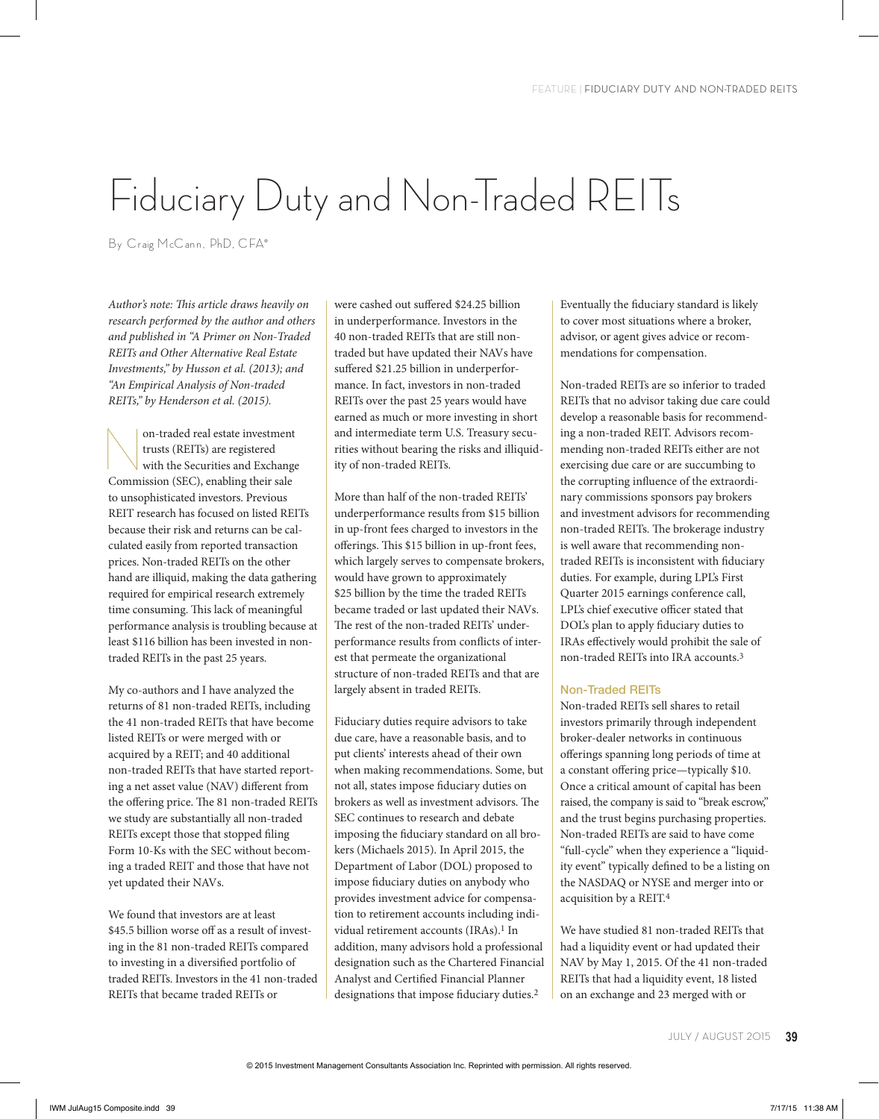# Fiduciary Duty and Non-Traded REITs

By Craig McCann, PhD, CFA®

*Author's note: This article draws heavily on research performed by the author and others and published in "A Primer on Non-Traded REITs and Other Alternative Real Estate Investments," by Husson et al. (2013); and "An Empirical Analysis of Non-traded REITs," by Henderson et al. (2015).* 

on-traded real estate investment<br>
trusts (REITs) are registered<br>
with the Securities and Exchange<br>
Commission (SEC), anabling their sale trusts (REITs) are registered Commission (SEC), enabling their sale to unsophisticated investors. Previous REIT research has focused on listed REITs because their risk and returns can be calculated easily from reported transaction prices. Non-traded REITs on the other hand are illiquid, making the data gathering required for empirical research extremely time consuming. This lack of meaningful performance analysis is troubling because at least \$116 billion has been invested in nontraded REITs in the past 25 years.

My co-authors and I have analyzed the returns of 81 non-traded REITs, including the 41 non-traded REITs that have become listed REITs or were merged with or acquired by a REIT; and 40 additional non-traded REITs that have started reporting a net asset value (NAV) different from the offering price. The 81 non-traded REITs we study are substantially all non-traded REITs except those that stopped filing Form 10-Ks with the SEC without becoming a traded REIT and those that have not yet updated their NAVs.

We found that investors are at least \$45.5 billion worse off as a result of investing in the 81 non-traded REITs compared to investing in a diversified portfolio of traded REITs. Investors in the 41 non-traded REITs that became traded REITs or

were cashed out suffered \$24.25 billion in underperformance. Investors in the 40 non-traded REITs that are still nontraded but have updated their NAVs have suffered \$21.25 billion in underperformance. In fact, investors in non-traded REITs over the past 25 years would have earned as much or more investing in short and intermediate term U.S. Treasury securities without bearing the risks and illiquidity of non-traded REITs.

More than half of the non-traded REITs' underperformance results from \$15 billion in up-front fees charged to investors in the offerings. This \$15 billion in up-front fees, which largely serves to compensate brokers, would have grown to approximately \$25 billion by the time the traded REITs became traded or last updated their NAVs. The rest of the non-traded REITs' underperformance results from conflicts of interest that permeate the organizational structure of non-traded REITs and that are largely absent in traded REITs.

Fiduciary duties require advisors to take due care, have a reasonable basis, and to put clients' interests ahead of their own when making recommendations. Some, but not all, states impose fiduciary duties on brokers as well as investment advisors. The SEC continues to research and debate imposing the fiduciary standard on all brokers (Michaels 2015). In April 2015, the Department of Labor (DOL) proposed to impose fiduciary duties on anybody who provides investment advice for compensation to retirement accounts including individual retirement accounts (IRAs).<sup>1</sup> In addition, many advisors hold a professional designation such as the Chartered Financial Analyst and Certified Financial Planner designations that impose fiduciary duties.2

Eventually the fiduciary standard is likely to cover most situations where a broker, advisor, or agent gives advice or recommendations for compensation.

Non-traded REITs are so inferior to traded REITs that no advisor taking due care could develop a reasonable basis for recommending a non-traded REIT. Advisors recommending non-traded REITs either are not exercising due care or are succumbing to the corrupting influence of the extraordinary commissions sponsors pay brokers and investment advisors for recommending non-traded REITs. The brokerage industry is well aware that recommending nontraded REITs is inconsistent with fiduciary duties. For example, during LPL's First Quarter 2015 earnings conference call, LPL's chief executive officer stated that DOL's plan to apply fiduciary duties to IRAs effectively would prohibit the sale of non-traded REITs into IRA accounts.3

## Non-Traded REITs

Non-traded REITs sell shares to retail investors primarily through independent broker-dealer networks in continuous offerings spanning long periods of time at a constant offering price—typically \$10. Once a critical amount of capital has been raised, the company is said to "break escrow," and the trust begins purchasing properties. Non-traded REITs are said to have come "full-cycle" when they experience a "liquidity event" typically defined to be a listing on the NASDAQ or NYSE and merger into or acquisition by a REIT.4

We have studied 81 non-traded REITs that had a liquidity event or had updated their NAV by May 1, 2015. Of the 41 non-traded REITs that had a liquidity event, 18 listed on an exchange and 23 merged with or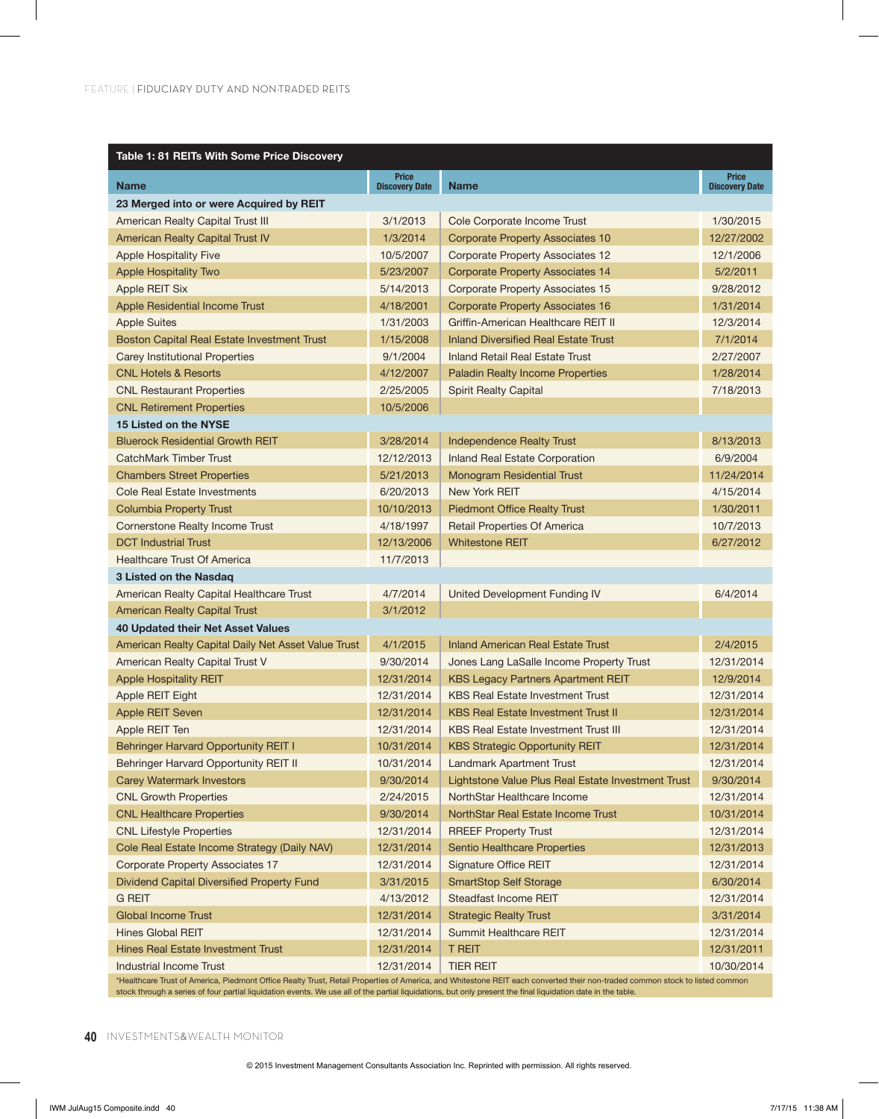| Table 1: 81 REITs With Some Price Discovery         |                                       |                                                    |                                       |  |
|-----------------------------------------------------|---------------------------------------|----------------------------------------------------|---------------------------------------|--|
| <b>Name</b>                                         | <b>Price</b><br><b>Discovery Date</b> | <b>Name</b>                                        | <b>Price</b><br><b>Discovery Date</b> |  |
| 23 Merged into or were Acquired by REIT             |                                       |                                                    |                                       |  |
| American Realty Capital Trust III                   | 3/1/2013                              | Cole Corporate Income Trust                        | 1/30/2015                             |  |
| <b>American Realty Capital Trust IV</b>             | 1/3/2014                              | <b>Corporate Property Associates 10</b>            | 12/27/2002                            |  |
| <b>Apple Hospitality Five</b>                       | 10/5/2007                             | <b>Corporate Property Associates 12</b>            | 12/1/2006                             |  |
| <b>Apple Hospitality Two</b>                        | 5/23/2007                             | <b>Corporate Property Associates 14</b>            | 5/2/2011                              |  |
| Apple REIT Six                                      | 5/14/2013                             | Corporate Property Associates 15                   | 9/28/2012                             |  |
| Apple Residential Income Trust                      | 4/18/2001                             | Corporate Property Associates 16                   | 1/31/2014                             |  |
| <b>Apple Suites</b>                                 | 1/31/2003                             | Griffin-American Healthcare REIT II                | 12/3/2014                             |  |
| Boston Capital Real Estate Investment Trust         | 1/15/2008                             | <b>Inland Diversified Real Estate Trust</b>        | 7/1/2014                              |  |
| Carey Institutional Properties                      | 9/1/2004                              | <b>Inland Retail Real Estate Trust</b>             | 2/27/2007                             |  |
| <b>CNL Hotels &amp; Resorts</b>                     | 4/12/2007                             | <b>Paladin Realty Income Properties</b>            | 1/28/2014                             |  |
| <b>CNL Restaurant Properties</b>                    | 2/25/2005                             | <b>Spirit Realty Capital</b>                       | 7/18/2013                             |  |
| <b>CNL Retirement Properties</b>                    | 10/5/2006                             |                                                    |                                       |  |
| 15 Listed on the NYSE                               |                                       |                                                    |                                       |  |
| <b>Bluerock Residential Growth REIT</b>             | 3/28/2014                             | <b>Independence Realty Trust</b>                   | 8/13/2013                             |  |
| <b>CatchMark Timber Trust</b>                       | 12/12/2013                            | Inland Real Estate Corporation                     | 6/9/2004                              |  |
| <b>Chambers Street Properties</b>                   | 5/21/2013                             | <b>Monogram Residential Trust</b>                  | 11/24/2014                            |  |
| Cole Real Estate Investments                        | 6/20/2013                             | New York REIT                                      | 4/15/2014                             |  |
| <b>Columbia Property Trust</b>                      | 10/10/2013                            | <b>Piedmont Office Realty Trust</b>                | 1/30/2011                             |  |
| Cornerstone Realty Income Trust                     | 4/18/1997                             | <b>Retail Properties Of America</b>                | 10/7/2013                             |  |
| <b>DCT Industrial Trust</b>                         | 12/13/2006                            | <b>Whitestone REIT</b>                             | 6/27/2012                             |  |
| Healthcare Trust Of America                         | 11/7/2013                             |                                                    |                                       |  |
| 3 Listed on the Nasdag                              |                                       |                                                    |                                       |  |
| American Realty Capital Healthcare Trust            | 4/7/2014                              | United Development Funding IV                      | 6/4/2014                              |  |
| <b>American Realty Capital Trust</b>                | 3/1/2012                              |                                                    |                                       |  |
| 40 Updated their Net Asset Values                   |                                       |                                                    |                                       |  |
| American Realty Capital Daily Net Asset Value Trust | 4/1/2015                              | <b>Inland American Real Estate Trust</b>           | 2/4/2015                              |  |
| American Realty Capital Trust V                     | 9/30/2014                             | Jones Lang LaSalle Income Property Trust           | 12/31/2014                            |  |
| <b>Apple Hospitality REIT</b>                       | 12/31/2014                            | <b>KBS Legacy Partners Apartment REIT</b>          | 12/9/2014                             |  |
| Apple REIT Eight                                    | 12/31/2014                            | <b>KBS Real Estate Investment Trust</b>            | 12/31/2014                            |  |
| <b>Apple REIT Seven</b>                             | 12/31/2014                            | <b>KBS Real Estate Investment Trust II</b>         | 12/31/2014                            |  |
| Apple REIT Ten                                      | 12/31/2014                            | <b>KBS Real Estate Investment Trust III</b>        | 12/31/2014                            |  |
| Behringer Harvard Opportunity REIT I                | 10/31/2014                            | <b>KBS Strategic Opportunity REIT</b>              | 12/31/2014                            |  |
| Behringer Harvard Opportunity REIT II               | 10/31/2014                            | Landmark Apartment Trust                           | 12/31/2014                            |  |
| <b>Carey Watermark Investors</b>                    | 9/30/2014                             | Lightstone Value Plus Real Estate Investment Trust | 9/30/2014                             |  |
| <b>CNL Growth Properties</b>                        | 2/24/2015                             | NorthStar Healthcare Income                        | 12/31/2014                            |  |
| <b>CNL Healthcare Properties</b>                    | 9/30/2014                             | NorthStar Real Estate Income Trust                 | 10/31/2014                            |  |
| <b>CNL Lifestyle Properties</b>                     | 12/31/2014                            | <b>RREEF Property Trust</b>                        | 12/31/2014                            |  |
| Cole Real Estate Income Strategy (Daily NAV)        | 12/31/2014                            | Sentio Healthcare Properties                       | 12/31/2013                            |  |
| <b>Corporate Property Associates 17</b>             | 12/31/2014                            | <b>Signature Office REIT</b>                       | 12/31/2014                            |  |
| Dividend Capital Diversified Property Fund          | 3/31/2015                             | <b>SmartStop Self Storage</b>                      | 6/30/2014                             |  |
| <b>G REIT</b>                                       | 4/13/2012                             | Steadfast Income REIT                              | 12/31/2014                            |  |
| <b>Global Income Trust</b>                          | 12/31/2014                            | <b>Strategic Realty Trust</b>                      | 3/31/2014                             |  |
| <b>Hines Global REIT</b>                            | 12/31/2014                            | Summit Healthcare REIT                             | 12/31/2014                            |  |
| <b>Hines Real Estate Investment Trust</b>           | 12/31/2014                            | <b>T REIT</b>                                      | 12/31/2011                            |  |
| <b>Industrial Income Trust</b>                      | 12/31/2014                            | <b>TIER REIT</b>                                   | 10/30/2014                            |  |

\*Healthcare Trust of America, Piedmont Office Realty Trust, Retail Properties of America, and Whitestone REIT each converted their non-traded common stock to listed common stock through a series of four partial liquidation events. We use all of the partial liquidations, but only present the final liquidation date in the table.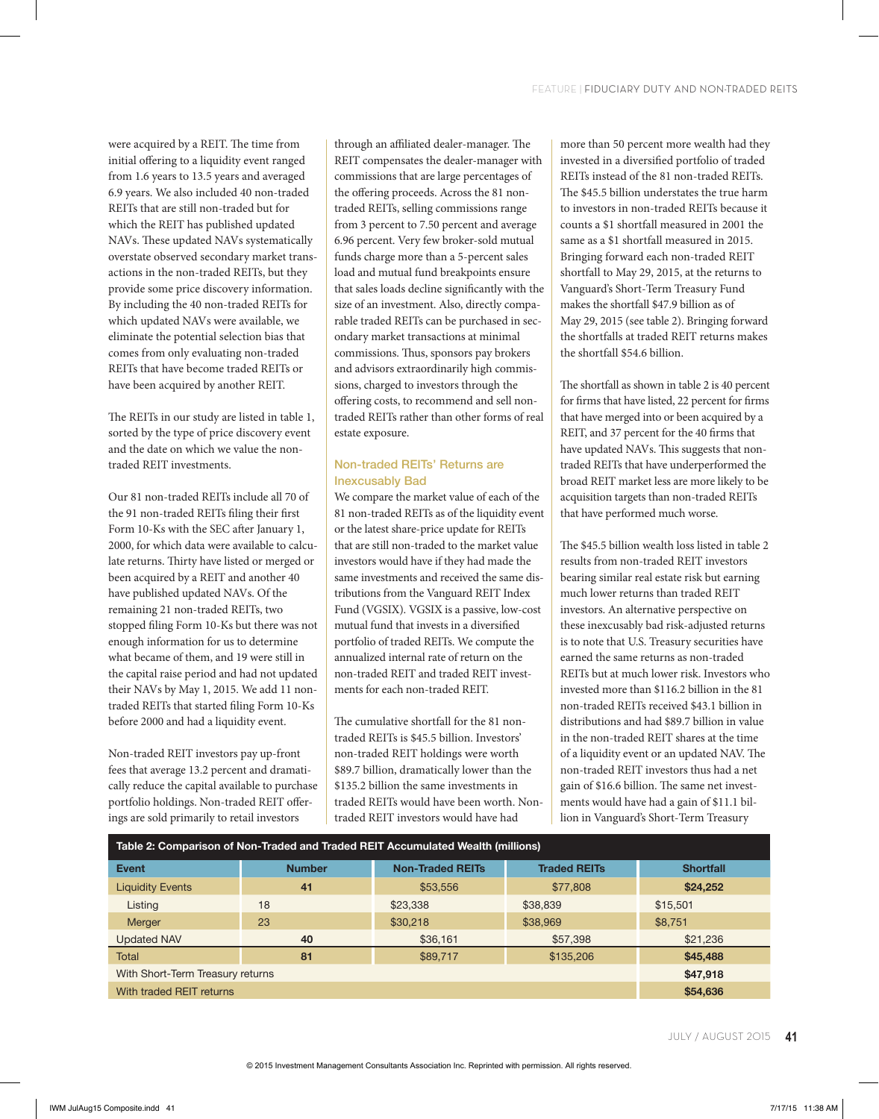were acquired by a REIT. The time from initial offering to a liquidity event ranged from 1.6 years to 13.5 years and averaged 6.9 years. We also included 40 non-traded REITs that are still non-traded but for which the REIT has published updated NAVs. These updated NAVs systematically overstate observed secondary market transactions in the non-traded REITs, but they provide some price discovery information. By including the 40 non-traded REITs for which updated NAVs were available, we eliminate the potential selection bias that comes from only evaluating non-traded REITs that have become traded REITs or have been acquired by another REIT.

The REITs in our study are listed in table 1, sorted by the type of price discovery event and the date on which we value the nontraded REIT investments.

Our 81 non-traded REITs include all 70 of the 91 non-traded REITs filing their first Form 10-Ks with the SEC after January 1, 2000, for which data were available to calculate returns. Thirty have listed or merged or been acquired by a REIT and another 40 have published updated NAVs. Of the remaining 21 non-traded REITs, two stopped filing Form 10-Ks but there was not enough information for us to determine what became of them, and 19 were still in the capital raise period and had not updated their NAVs by May 1, 2015. We add 11 nontraded REITs that started filing Form 10-Ks before 2000 and had a liquidity event.

Non-traded REIT investors pay up-front fees that average 13.2 percent and dramatically reduce the capital available to purchase portfolio holdings. Non-traded REIT offerings are sold primarily to retail investors

through an affiliated dealer-manager. The REIT compensates the dealer-manager with commissions that are large percentages of the offering proceeds. Across the 81 nontraded REITs, selling commissions range from 3 percent to 7.50 percent and average 6.96 percent. Very few broker-sold mutual funds charge more than a 5-percent sales load and mutual fund breakpoints ensure that sales loads decline significantly with the size of an investment. Also, directly comparable traded REITs can be purchased in secondary market transactions at minimal commissions. Thus, sponsors pay brokers and advisors extraordinarily high commissions, charged to investors through the offering costs, to recommend and sell nontraded REITs rather than other forms of real estate exposure.

## Non-traded REITs' Returns are Inexcusably Bad

We compare the market value of each of the 81 non-traded REITs as of the liquidity event or the latest share-price update for REITs that are still non-traded to the market value investors would have if they had made the same investments and received the same distributions from the Vanguard REIT Index Fund (VGSIX). VGSIX is a passive, low-cost mutual fund that invests in a diversified portfolio of traded REITs. We compute the annualized internal rate of return on the non-traded REIT and traded REIT investments for each non-traded REIT.

The cumulative shortfall for the 81 nontraded REITs is \$45.5 billion. Investors' non-traded REIT holdings were worth \$89.7 billion, dramatically lower than the \$135.2 billion the same investments in traded REITs would have been worth. Nontraded REIT investors would have had

more than 50 percent more wealth had they invested in a diversified portfolio of traded REITs instead of the 81 non-traded REITs. The \$45.5 billion understates the true harm to investors in non-traded REITs because it counts a \$1 shortfall measured in 2001 the same as a \$1 shortfall measured in 2015. Bringing forward each non-traded REIT shortfall to May 29, 2015, at the returns to Vanguard's Short-Term Treasury Fund makes the shortfall \$47.9 billion as of May 29, 2015 (see table 2). Bringing forward the shortfalls at traded REIT returns makes the shortfall \$54.6 billion.

The shortfall as shown in table 2 is 40 percent for firms that have listed, 22 percent for firms that have merged into or been acquired by a REIT, and 37 percent for the 40 firms that have updated NAVs. This suggests that nontraded REITs that have underperformed the broad REIT market less are more likely to be acquisition targets than non-traded REITs that have performed much worse.

The \$45.5 billion wealth loss listed in table 2 results from non-traded REIT investors bearing similar real estate risk but earning much lower returns than traded REIT investors. An alternative perspective on these inexcusably bad risk-adjusted returns is to note that U.S. Treasury securities have earned the same returns as non-traded REITs but at much lower risk. Investors who invested more than \$116.2 billion in the 81 non-traded REITs received \$43.1 billion in distributions and had \$89.7 billion in value in the non-traded REIT shares at the time of a liquidity event or an updated NAV. The non-traded REIT investors thus had a net gain of \$16.6 billion. The same net investments would have had a gain of \$11.1 billion in Vanguard's Short-Term Treasury

| Table 2: Comparison of Non-Traded and Traded REIT Accumulated Wealth (millions) |               |                         |                     |                  |
|---------------------------------------------------------------------------------|---------------|-------------------------|---------------------|------------------|
| <b>Event</b>                                                                    | <b>Number</b> | <b>Non-Traded REITs</b> | <b>Traded REITs</b> | <b>Shortfall</b> |
| <b>Liquidity Events</b>                                                         | 41            | \$53,556                | \$77,808            | \$24,252         |
| Listing                                                                         | 18            | \$23,338                | \$38,839            | \$15,501         |
| <b>Merger</b>                                                                   | 23            | \$30,218                | \$38,969            | \$8,751          |
| <b>Updated NAV</b>                                                              | 40            | \$36,161                | \$57,398            | \$21,236         |
| <b>Total</b>                                                                    | 81            | \$89,717                | \$135,206           | \$45,488         |
| With Short-Term Treasury returns                                                |               |                         |                     | \$47,918         |
| With traded REIT returns                                                        |               |                         | \$54,636            |                  |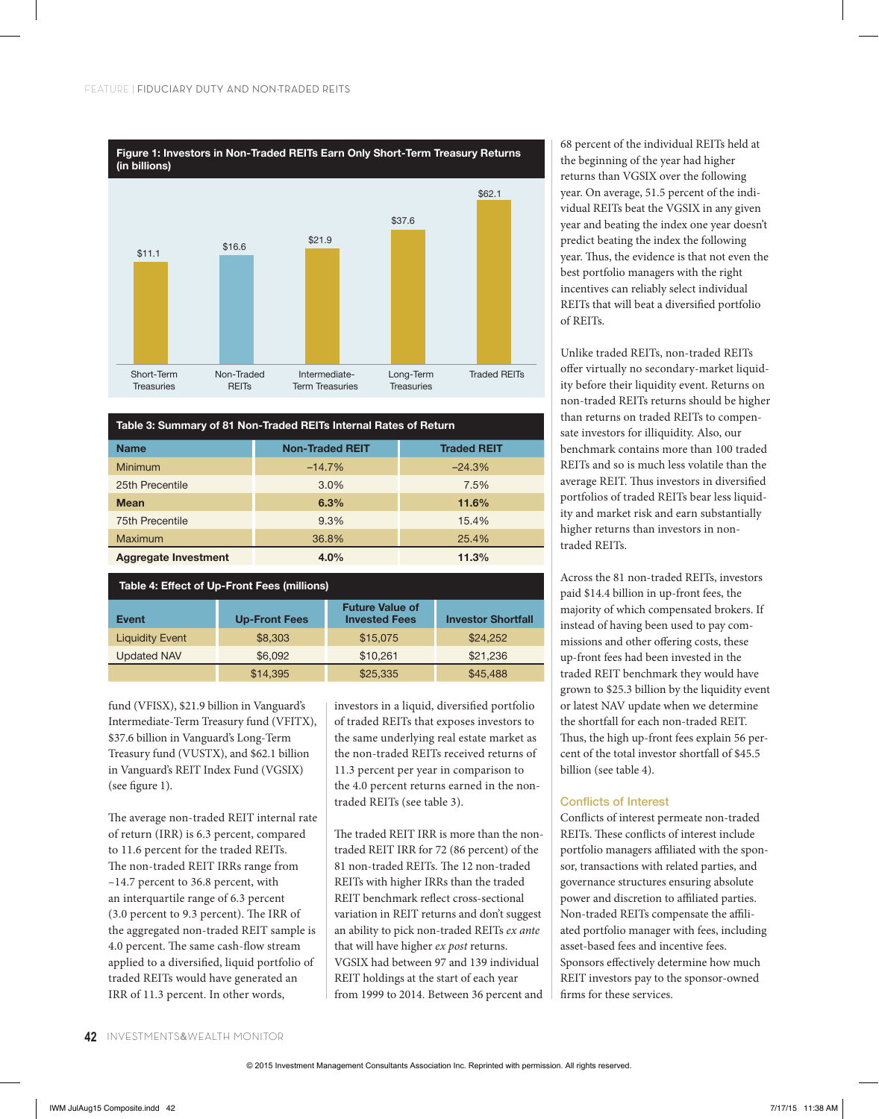

| Table 3: Summary of 81 Non-Traded REITs Internal Rates of Return |                        |                    |  |  |
|------------------------------------------------------------------|------------------------|--------------------|--|--|
| <b>Name</b>                                                      | <b>Non-Traded REIT</b> | <b>Traded REIT</b> |  |  |
| <b>Minimum</b>                                                   | $-14.7%$               | $-24.3%$           |  |  |
| 25th Precentile                                                  | 3.0%                   | 7.5%               |  |  |
| <b>Mean</b>                                                      | 6.3%                   | 11.6%              |  |  |
| <b>75th Precentile</b>                                           | 9.3%                   | 15.4%              |  |  |
| Maximum                                                          | 36.8%                  | 25.4%              |  |  |
| <b>Aggregate Investment</b>                                      | 4.0%                   | 11.3%              |  |  |

| Table 4: Effect of Up-Front Fees (millions) |                      |                                                |                           |  |
|---------------------------------------------|----------------------|------------------------------------------------|---------------------------|--|
| <b>Event</b>                                | <b>Up-Front Fees</b> | <b>Future Value of</b><br><b>Invested Fees</b> | <b>Investor Shortfall</b> |  |
| <b>Liquidity Event</b>                      | \$8,303              | \$15,075                                       | \$24,252                  |  |
| <b>Updated NAV</b>                          | \$6,092              | \$10,261                                       | \$21,236                  |  |
|                                             | \$14,395             | \$25,335                                       | \$45,488                  |  |

fund (VFISX), \$21.9 billion in Vanguard's Intermediate-Term Treasury fund (VFITX), \$37.6 billion in Vanguard's Long-Term Treasury fund (VUSTX), and \$62.1 billion in Vanguard's REIT Index Fund (VGSIX) (see figure 1).

The average non-traded REIT internal rate of return (IRR) is 6.3 percent, compared to 11.6 percent for the traded REITs. The non-traded REIT IRRs range from –14.7 percent to 36.8 percent, with an interquartile range of 6.3 percent (3.0 percent to 9.3 percent). The IRR of the aggregated non-traded REIT sample is 4.0 percent. The same cash-flow stream applied to a diversified, liquid portfolio of traded REITs would have generated an IRR of 11.3 percent. In other words,

investors in a liquid, diversified portfolio of traded REITs that exposes investors to the same underlying real estate market as the non-traded REITs received returns of 11.3 percent per year in comparison to the 4.0 percent returns earned in the nontraded REITs (see table 3).

The traded REIT IRR is more than the nontraded REIT IRR for 72 (86 percent) of the 81 non-traded REITs. The 12 non-traded REITs with higher IRRs than the traded REIT benchmark reflect cross-sectional variation in REIT returns and don't suggest an ability to pick non-traded REITs *ex ante* that will have higher *ex post* returns. VGSIX had between 97 and 139 individual REIT holdings at the start of each year from 1999 to 2014. Between 36 percent and 68 percent of the individual REITs held at the beginning of the year had higher returns than VGSIX over the following year. On average, 51.5 percent of the individual REITs beat the VGSIX in any given year and beating the index one year doesn't predict beating the index the following year. Thus, the evidence is that not even the best portfolio managers with the right incentives can reliably select individual REITs that will beat a diversified portfolio of REITs.

Unlike traded REITs, non-traded REITs offer virtually no secondary-market liquidity before their liquidity event. Returns on non-traded REITs returns should be higher than returns on traded REITs to compensate investors for illiquidity. Also, our benchmark contains more than 100 traded REITs and so is much less volatile than the average REIT. Thus investors in diversified portfolios of traded REITs bear less liquidity and market risk and earn substantially higher returns than investors in nontraded REITs.

Across the 81 non-traded REITs, investors paid \$14.4 billion in up-front fees, the majority of which compensated brokers. If instead of having been used to pay commissions and other offering costs, these up-front fees had been invested in the traded REIT benchmark they would have grown to \$25.3 billion by the liquidity event or latest NAV update when we determine the shortfall for each non-traded REIT. Thus, the high up-front fees explain 56 percent of the total investor shortfall of \$45.5 billion (see table 4).

## Conflicts of Interest

Conflicts of interest permeate non-traded REITs. These conflicts of interest include portfolio managers affiliated with the sponsor, transactions with related parties, and governance structures ensuring absolute power and discretion to affiliated parties. Non-traded REITs compensate the affiliated portfolio manager with fees, including asset-based fees and incentive fees. Sponsors effectively determine how much REIT investors pay to the sponsor-owned firms for these services.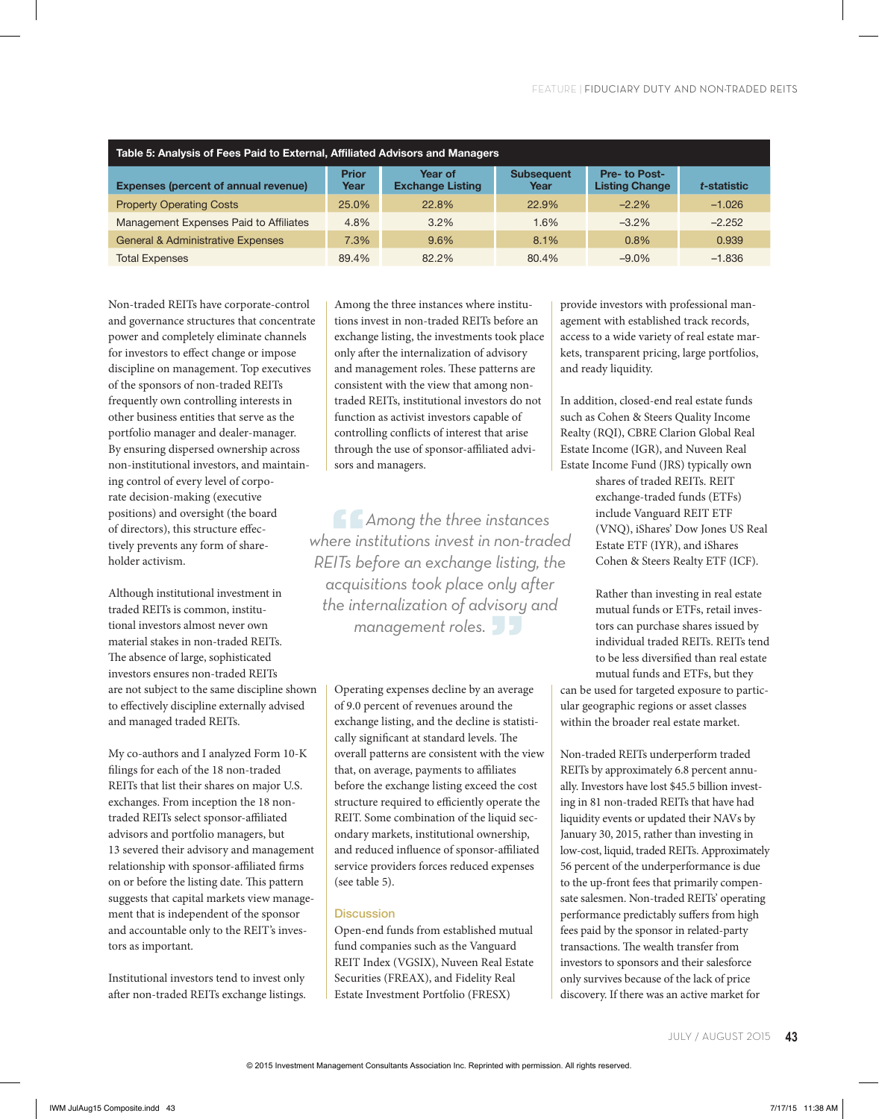| Table 5: Analysis of Fees Paid to External, Affiliated Advisors and Managers |                      |                                    |                           |                                       |             |
|------------------------------------------------------------------------------|----------------------|------------------------------------|---------------------------|---------------------------------------|-------------|
| <b>Expenses (percent of annual revenue)</b>                                  | <b>Prior</b><br>Year | Year of<br><b>Exchange Listing</b> | <b>Subsequent</b><br>Year | Pre-to Post-<br><b>Listing Change</b> | t-statistic |
| <b>Property Operating Costs</b>                                              | 25.0%                | 22.8%                              | 22.9%                     | $-2.2%$                               | $-1.026$    |
| Management Expenses Paid to Affiliates                                       | 4.8%                 | 3.2%                               | 1.6%                      | $-3.2\%$                              | $-2.252$    |
| <b>General &amp; Administrative Expenses</b>                                 | 7.3%                 | 9.6%                               | 8.1%                      | 0.8%                                  | 0.939       |
| <b>Total Expenses</b>                                                        | 89.4%                | 82.2%                              | 80.4%                     | $-9.0\%$                              | $-1.836$    |

Non-traded REITs have corporate-control and governance structures that concentrate power and completely eliminate channels for investors to effect change or impose discipline on management. Top executives of the sponsors of non-traded REITs frequently own controlling interests in other business entities that serve as the portfolio manager and dealer-manager. By ensuring dispersed ownership across non-institutional investors, and maintaining control of every level of corporate decision-making (executive positions) and oversight (the board of directors), this structure effectively prevents any form of shareholder activism.

Although institutional investment in traded REITs is common, institutional investors almost never own material stakes in non-traded REITs. The absence of large, sophisticated investors ensures non-traded REITs are not subject to the same discipline shown to effectively discipline externally advised and managed traded REITs.

My co-authors and I analyzed Form 10-K filings for each of the 18 non-traded REITs that list their shares on major U.S. exchanges. From inception the 18 nontraded REITs select sponsor-affiliated advisors and portfolio managers, but 13 severed their advisory and management relationship with sponsor-affiliated firms on or before the listing date. This pattern suggests that capital markets view management that is independent of the sponsor and accountable only to the REIT's investors as important.

Institutional investors tend to invest only after non-traded REITs exchange listings. Among the three instances where institutions invest in non-traded REITs before an exchange listing, the investments took place only after the internalization of advisory and management roles. These patterns are consistent with the view that among nontraded REITs, institutional investors do not function as activist investors capable of controlling conflicts of interest that arise through the use of sponsor-affiliated advisors and managers.

**"***Among the three instances where institutions invest in non-traded REITs before an exchange listing, the acquisitions took place only after the internalization of advisory and management roles.* **"**

Operating expenses decline by an average of 9.0 percent of revenues around the exchange listing, and the decline is statistically significant at standard levels. The overall patterns are consistent with the view that, on average, payments to affiliates before the exchange listing exceed the cost structure required to efficiently operate the REIT. Some combination of the liquid secondary markets, institutional ownership, and reduced influence of sponsor-affiliated service providers forces reduced expenses (see table 5).

## **Discussion**

Open-end funds from established mutual fund companies such as the Vanguard REIT Index (VGSIX), Nuveen Real Estate Securities (FREAX), and Fidelity Real Estate Investment Portfolio (FRESX)

provide investors with professional management with established track records, access to a wide variety of real estate markets, transparent pricing, large portfolios, and ready liquidity.

In addition, closed-end real estate funds such as Cohen & Steers Quality Income Realty (RQI), CBRE Clarion Global Real Estate Income (IGR), and Nuveen Real Estate Income Fund (JRS) typically own

> shares of traded REITs. REIT exchange-traded funds (ETFs) include Vanguard REIT ETF (VNQ), iShares' Dow Jones US Real Estate ETF (IYR), and iShares Cohen & Steers Realty ETF (ICF).

> Rather than investing in real estate mutual funds or ETFs, retail investors can purchase shares issued by individual traded REITs. REITs tend to be less diversified than real estate mutual funds and ETFs, but they

can be used for targeted exposure to particular geographic regions or asset classes within the broader real estate market.

Non-traded REITs underperform traded REITs by approximately 6.8 percent annually. Investors have lost \$45.5 billion investing in 81 non-traded REITs that have had liquidity events or updated their NAVs by January 30, 2015, rather than investing in low-cost, liquid, traded REITs. Approximately 56 percent of the underperformance is due to the up-front fees that primarily compensate salesmen. Non-traded REITs' operating performance predictably suffers from high fees paid by the sponsor in related-party transactions. The wealth transfer from investors to sponsors and their salesforce only survives because of the lack of price discovery. If there was an active market for